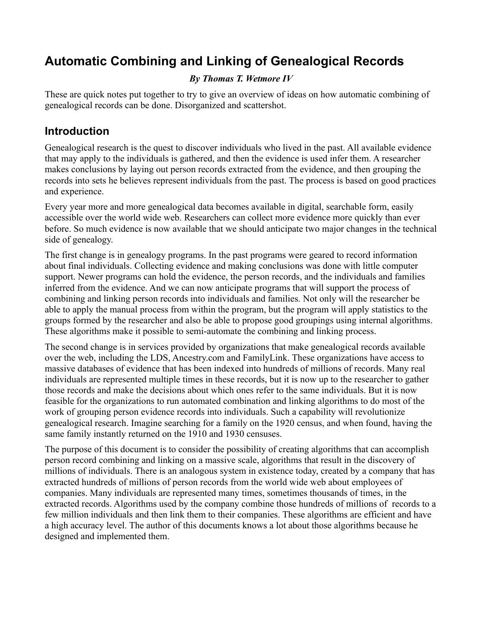# **Automatic Combining and Linking of Genealogical Records**

#### *By Thomas T. Wetmore IV*

These are quick notes put together to try to give an overview of ideas on how automatic combining of genealogical records can be done. Disorganized and scattershot.

#### **Introduction**

Genealogical research is the quest to discover individuals who lived in the past. All available evidence that may apply to the individuals is gathered, and then the evidence is used infer them. A researcher makes conclusions by laying out person records extracted from the evidence, and then grouping the records into sets he believes represent individuals from the past. The process is based on good practices and experience.

Every year more and more genealogical data becomes available in digital, searchable form, easily accessible over the world wide web. Researchers can collect more evidence more quickly than ever before. So much evidence is now available that we should anticipate two major changes in the technical side of genealogy.

The first change is in genealogy programs. In the past programs were geared to record information about final individuals. Collecting evidence and making conclusions was done with little computer support. Newer programs can hold the evidence, the person records, and the individuals and families inferred from the evidence. And we can now anticipate programs that will support the process of combining and linking person records into individuals and families. Not only will the researcher be able to apply the manual process from within the program, but the program will apply statistics to the groups formed by the researcher and also be able to propose good groupings using internal algorithms. These algorithms make it possible to semi-automate the combining and linking process.

The second change is in services provided by organizations that make genealogical records available over the web, including the LDS, Ancestry.com and FamilyLink. These organizations have access to massive databases of evidence that has been indexed into hundreds of millions of records. Many real individuals are represented multiple times in these records, but it is now up to the researcher to gather those records and make the decisions about which ones refer to the same individuals. But it is now feasible for the organizations to run automated combination and linking algorithms to do most of the work of grouping person evidence records into individuals. Such a capability will revolutionize genealogical research. Imagine searching for a family on the 1920 census, and when found, having the same family instantly returned on the 1910 and 1930 censuses.

The purpose of this document is to consider the possibility of creating algorithms that can accomplish person record combining and linking on a massive scale, algorithms that result in the discovery of millions of individuals. There is an analogous system in existence today, created by a company that has extracted hundreds of millions of person records from the world wide web about employees of companies. Many individuals are represented many times, sometimes thousands of times, in the extracted records. Algorithms used by the company combine those hundreds of millions of records to a few million individuals and then link them to their companies. These algorithms are efficient and have a high accuracy level. The author of this documents knows a lot about those algorithms because he designed and implemented them.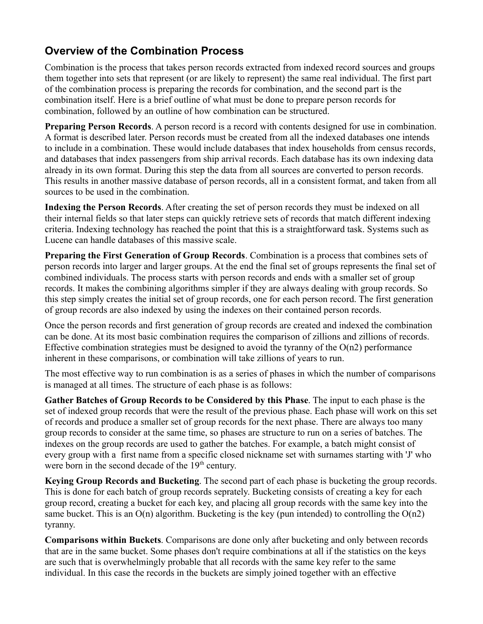# **Overview of the Combination Process**

Combination is the process that takes person records extracted from indexed record sources and groups them together into sets that represent (or are likely to represent) the same real individual. The first part of the combination process is preparing the records for combination, and the second part is the combination itself. Here is a brief outline of what must be done to prepare person records for combination, followed by an outline of how combination can be structured.

**Preparing Person Records**. A person record is a record with contents designed for use in combination. A format is described later. Person records must be created from all the indexed databases one intends to include in a combination. These would include databases that index households from census records, and databases that index passengers from ship arrival records. Each database has its own indexing data already in its own format. During this step the data from all sources are converted to person records. This results in another massive database of person records, all in a consistent format, and taken from all sources to be used in the combination.

**Indexing the Person Records**. After creating the set of person records they must be indexed on all their internal fields so that later steps can quickly retrieve sets of records that match different indexing criteria. Indexing technology has reached the point that this is a straightforward task. Systems such as Lucene can handle databases of this massive scale.

**Preparing the First Generation of Group Records**. Combination is a process that combines sets of person records into larger and larger groups. At the end the final set of groups represents the final set of combined individuals. The process starts with person records and ends with a smaller set of group records. It makes the combining algorithms simpler if they are always dealing with group records. So this step simply creates the initial set of group records, one for each person record. The first generation of group records are also indexed by using the indexes on their contained person records.

Once the person records and first generation of group records are created and indexed the combination can be done. At its most basic combination requires the comparison of zillions and zillions of records. Effective combination strategies must be designed to avoid the tyranny of the  $O(n2)$  performance inherent in these comparisons, or combination will take zillions of years to run.

The most effective way to run combination is as a series of phases in which the number of comparisons is managed at all times. The structure of each phase is as follows:

**Gather Batches of Group Records to be Considered by this Phase**. The input to each phase is the set of indexed group records that were the result of the previous phase. Each phase will work on this set of records and produce a smaller set of group records for the next phase. There are always too many group records to consider at the same time, so phases are structure to run on a series of batches. The indexes on the group records are used to gather the batches. For example, a batch might consist of every group with a first name from a specific closed nickname set with surnames starting with 'J' who were born in the second decade of the  $19<sup>th</sup>$  century.

**Keying Group Records and Bucketing**. The second part of each phase is bucketing the group records. This is done for each batch of group records seprately. Bucketing consists of creating a key for each group record, creating a bucket for each key, and placing all group records with the same key into the same bucket. This is an  $O(n)$  algorithm. Bucketing is the key (pun intended) to controlling the  $O(n2)$ tyranny.

**Comparisons within Buckets**. Comparisons are done only after bucketing and only between records that are in the same bucket. Some phases don't require combinations at all if the statistics on the keys are such that is overwhelmingly probable that all records with the same key refer to the same individual. In this case the records in the buckets are simply joined together with an effective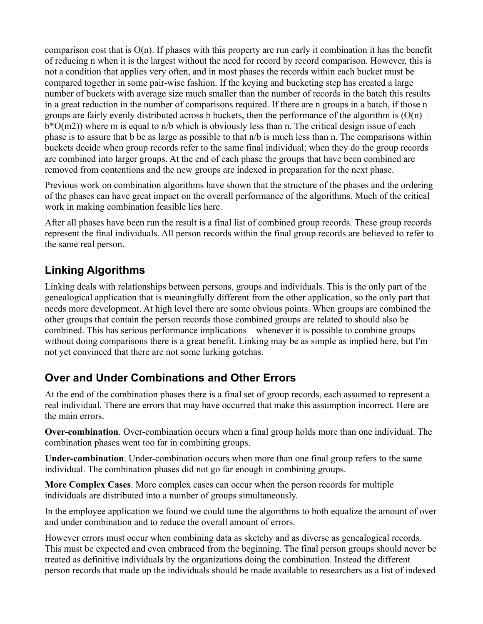comparison cost that is O(n). If phases with this property are run early it combination it has the benefit of reducing n when it is the largest without the need for record by record comparison. However, this is not a condition that applies very often, and in most phases the records within each bucket must be compared together in some pair-wise fashion. If the keying and bucketing step has created a large number of buckets with average size much smaller than the number of records in the batch this results in a great reduction in the number of comparisons required. If there are n groups in a batch, if those n groups are fairly evenly distributed across b buckets, then the performance of the algorithm is  $(O(n) +$ b\*O(m2)) where m is equal to n/b which is obviously less than n. The critical design issue of each phase is to assure that b be as large as possible to that n/b is much less than n. The comparisons within buckets decide when group records refer to the same final individual; when they do the group records are combined into larger groups. At the end of each phase the groups that have been combined are removed from contentions and the new groups are indexed in preparation for the next phase.

Previous work on combination algorithms have shown that the structure of the phases and the ordering of the phases can have great impact on the overall performance of the algorithms. Much of the critical work in making combination feasible lies here.

After all phases have been run the result is a final list of combined group records. These group records represent the final individuals. All person records within the final group records are believed to refer to the same real person.

#### **Linking Algorithms**

Linking deals with relationships between persons, groups and individuals. This is the only part of the genealogical application that is meaningfully different from the other application, so the only part that needs more development. At high level there are some obvious points. When groups are combined the other groups that contain the person records those combined groups are related to should also be combined. This has serious performance implications – whenever it is possible to combine groups without doing comparisons there is a great benefit. Linking may be as simple as implied here, but I'm not yet convinced that there are not some lurking gotchas.

#### **Over and Under Combinations and Other Errors**

At the end of the combination phases there is a final set of group records, each assumed to represent a real individual. There are errors that may have occurred that make this assumption incorrect. Here are the main errors.

**Over-combination**. Over-combination occurs when a final group holds more than one individual. The combination phases went too far in combining groups.

**Under-combination**. Under-combination occurs when more than one final group refers to the same individual. The combination phases did not go far enough in combining groups.

**More Complex Cases**. More complex cases can occur when the person records for multiple individuals are distributed into a number of groups simultaneously.

In the employee application we found we could tune the algorithms to both equalize the amount of over and under combination and to reduce the overall amount of errors.

However errors must occur when combining data as sketchy and as diverse as genealogical records. This must be expected and even embraced from the beginning. The final person groups should never be treated as definitive individuals by the organizations doing the combination. Instead the different person records that made up the individuals should be made available to researchers as a list of indexed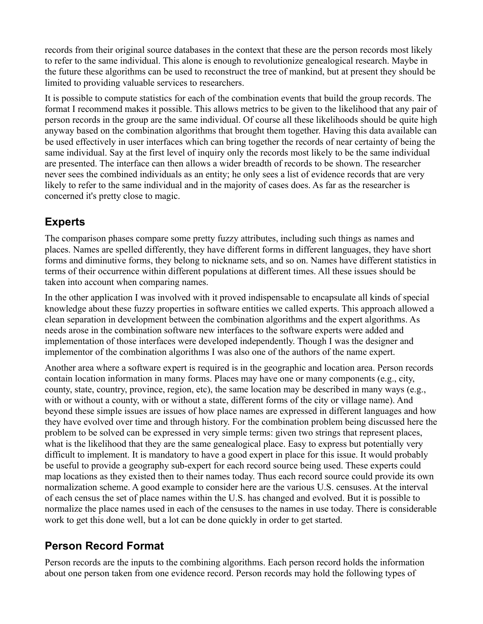records from their original source databases in the context that these are the person records most likely to refer to the same individual. This alone is enough to revolutionize genealogical research. Maybe in the future these algorithms can be used to reconstruct the tree of mankind, but at present they should be limited to providing valuable services to researchers.

It is possible to compute statistics for each of the combination events that build the group records. The format I recommend makes it possible. This allows metrics to be given to the likelihood that any pair of person records in the group are the same individual. Of course all these likelihoods should be quite high anyway based on the combination algorithms that brought them together. Having this data available can be used effectively in user interfaces which can bring together the records of near certainty of being the same individual. Say at the first level of inquiry only the records most likely to be the same individual are presented. The interface can then allows a wider breadth of records to be shown. The researcher never sees the combined individuals as an entity; he only sees a list of evidence records that are very likely to refer to the same individual and in the majority of cases does. As far as the researcher is concerned it's pretty close to magic.

# **Experts**

The comparison phases compare some pretty fuzzy attributes, including such things as names and places. Names are spelled differently, they have different forms in different languages, they have short forms and diminutive forms, they belong to nickname sets, and so on. Names have different statistics in terms of their occurrence within different populations at different times. All these issues should be taken into account when comparing names.

In the other application I was involved with it proved indispensable to encapsulate all kinds of special knowledge about these fuzzy properties in software entities we called experts. This approach allowed a clean separation in development between the combination algorithms and the expert algorithms. As needs arose in the combination software new interfaces to the software experts were added and implementation of those interfaces were developed independently. Though I was the designer and implementor of the combination algorithms I was also one of the authors of the name expert.

Another area where a software expert is required is in the geographic and location area. Person records contain location information in many forms. Places may have one or many components (e.g., city, county, state, country, province, region, etc), the same location may be described in many ways (e.g., with or without a county, with or without a state, different forms of the city or village name). And beyond these simple issues are issues of how place names are expressed in different languages and how they have evolved over time and through history. For the combination problem being discussed here the problem to be solved can be expressed in very simple terms: given two strings that represent places, what is the likelihood that they are the same genealogical place. Easy to express but potentially very difficult to implement. It is mandatory to have a good expert in place for this issue. It would probably be useful to provide a geography sub-expert for each record source being used. These experts could map locations as they existed then to their names today. Thus each record source could provide its own normalization scheme. A good example to consider here are the various U.S. censuses. At the interval of each census the set of place names within the U.S. has changed and evolved. But it is possible to normalize the place names used in each of the censuses to the names in use today. There is considerable work to get this done well, but a lot can be done quickly in order to get started.

# **Person Record Format**

Person records are the inputs to the combining algorithms. Each person record holds the information about one person taken from one evidence record. Person records may hold the following types of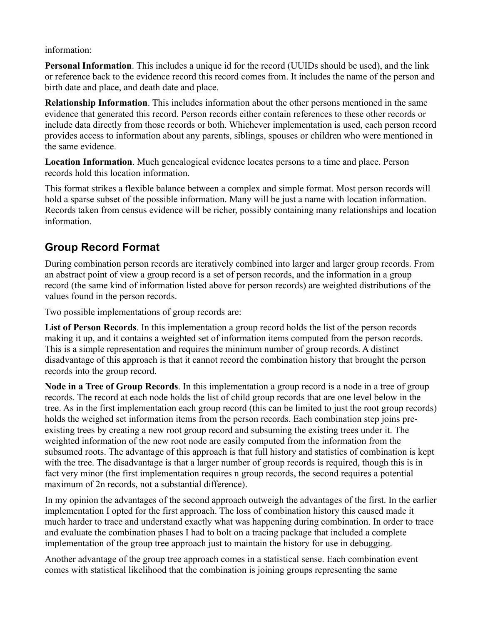information:

**Personal Information**. This includes a unique id for the record (UUIDs should be used), and the link or reference back to the evidence record this record comes from. It includes the name of the person and birth date and place, and death date and place.

**Relationship Information**. This includes information about the other persons mentioned in the same evidence that generated this record. Person records either contain references to these other records or include data directly from those records or both. Whichever implementation is used, each person record provides access to information about any parents, siblings, spouses or children who were mentioned in the same evidence.

**Location Information**. Much genealogical evidence locates persons to a time and place. Person records hold this location information.

This format strikes a flexible balance between a complex and simple format. Most person records will hold a sparse subset of the possible information. Many will be just a name with location information. Records taken from census evidence will be richer, possibly containing many relationships and location information.

#### **Group Record Format**

During combination person records are iteratively combined into larger and larger group records. From an abstract point of view a group record is a set of person records, and the information in a group record (the same kind of information listed above for person records) are weighted distributions of the values found in the person records.

Two possible implementations of group records are:

**List of Person Records**. In this implementation a group record holds the list of the person records making it up, and it contains a weighted set of information items computed from the person records. This is a simple representation and requires the minimum number of group records. A distinct disadvantage of this approach is that it cannot record the combination history that brought the person records into the group record.

**Node in a Tree of Group Records**. In this implementation a group record is a node in a tree of group records. The record at each node holds the list of child group records that are one level below in the tree. As in the first implementation each group record (this can be limited to just the root group records) holds the weighed set information items from the person records. Each combination step joins preexisting trees by creating a new root group record and subsuming the existing trees under it. The weighted information of the new root node are easily computed from the information from the subsumed roots. The advantage of this approach is that full history and statistics of combination is kept with the tree. The disadvantage is that a larger number of group records is required, though this is in fact very minor (the first implementation requires n group records, the second requires a potential maximum of 2n records, not a substantial difference).

In my opinion the advantages of the second approach outweigh the advantages of the first. In the earlier implementation I opted for the first approach. The loss of combination history this caused made it much harder to trace and understand exactly what was happening during combination. In order to trace and evaluate the combination phases I had to bolt on a tracing package that included a complete implementation of the group tree approach just to maintain the history for use in debugging.

Another advantage of the group tree approach comes in a statistical sense. Each combination event comes with statistical likelihood that the combination is joining groups representing the same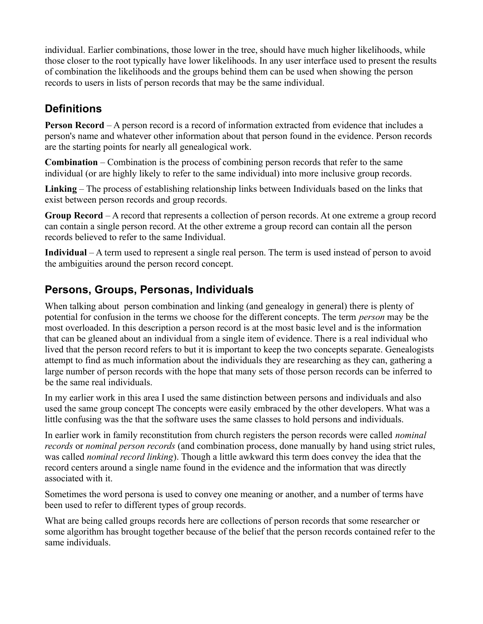individual. Earlier combinations, those lower in the tree, should have much higher likelihoods, while those closer to the root typically have lower likelihoods. In any user interface used to present the results of combination the likelihoods and the groups behind them can be used when showing the person records to users in lists of person records that may be the same individual.

# **Definitions**

**Person Record** – A person record is a record of information extracted from evidence that includes a person's name and whatever other information about that person found in the evidence. Person records are the starting points for nearly all genealogical work.

**Combination** – Combination is the process of combining person records that refer to the same individual (or are highly likely to refer to the same individual) into more inclusive group records.

**Linking** – The process of establishing relationship links between Individuals based on the links that exist between person records and group records.

**Group Record** – A record that represents a collection of person records. At one extreme a group record can contain a single person record. At the other extreme a group record can contain all the person records believed to refer to the same Individual.

**Individual** – A term used to represent a single real person. The term is used instead of person to avoid the ambiguities around the person record concept.

#### **Persons, Groups, Personas, Individuals**

When talking about person combination and linking (and genealogy in general) there is plenty of potential for confusion in the terms we choose for the different concepts. The term *person* may be the most overloaded. In this description a person record is at the most basic level and is the information that can be gleaned about an individual from a single item of evidence. There is a real individual who lived that the person record refers to but it is important to keep the two concepts separate. Genealogists attempt to find as much information about the individuals they are researching as they can, gathering a large number of person records with the hope that many sets of those person records can be inferred to be the same real individuals.

In my earlier work in this area I used the same distinction between persons and individuals and also used the same group concept The concepts were easily embraced by the other developers. What was a little confusing was the that the software uses the same classes to hold persons and individuals.

In earlier work in family reconstitution from church registers the person records were called *nominal records* or *nominal person records* (and combination process, done manually by hand using strict rules, was called *nominal record linking*). Though a little awkward this term does convey the idea that the record centers around a single name found in the evidence and the information that was directly associated with it.

Sometimes the word persona is used to convey one meaning or another, and a number of terms have been used to refer to different types of group records.

What are being called groups records here are collections of person records that some researcher or some algorithm has brought together because of the belief that the person records contained refer to the same individuals.